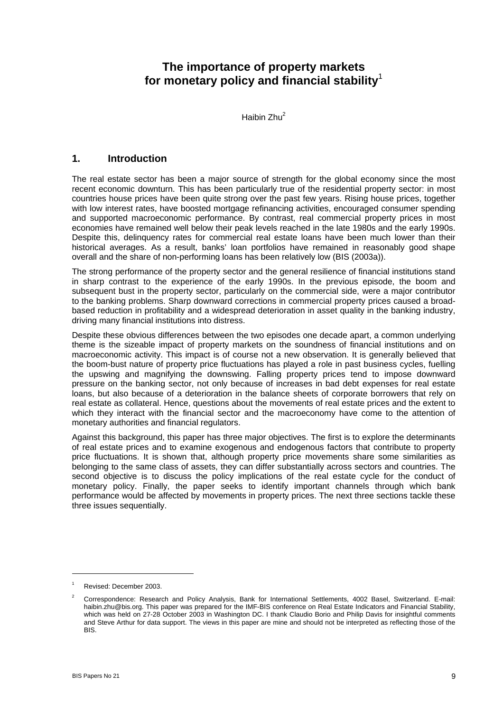# **The importance of property markets for monetary policy and financial stability**<sup>1</sup>

Haibin Zhu2

### **1. Introduction**

The real estate sector has been a major source of strength for the global economy since the most recent economic downturn. This has been particularly true of the residential property sector: in most countries house prices have been quite strong over the past few years. Rising house prices, together with low interest rates, have boosted mortgage refinancing activities, encouraged consumer spending and supported macroeconomic performance. By contrast, real commercial property prices in most economies have remained well below their peak levels reached in the late 1980s and the early 1990s. Despite this, delinquency rates for commercial real estate loans have been much lower than their historical averages. As a result, banks' loan portfolios have remained in reasonably good shape overall and the share of non-performing loans has been relatively low (BIS (2003a)).

The strong performance of the property sector and the general resilience of financial institutions stand in sharp contrast to the experience of the early 1990s. In the previous episode, the boom and subsequent bust in the property sector, particularly on the commercial side, were a major contributor to the banking problems. Sharp downward corrections in commercial property prices caused a broadbased reduction in profitability and a widespread deterioration in asset quality in the banking industry, driving many financial institutions into distress.

Despite these obvious differences between the two episodes one decade apart, a common underlying theme is the sizeable impact of property markets on the soundness of financial institutions and on macroeconomic activity. This impact is of course not a new observation. It is generally believed that the boom-bust nature of property price fluctuations has played a role in past business cycles, fuelling the upswing and magnifying the downswing. Falling property prices tend to impose downward pressure on the banking sector, not only because of increases in bad debt expenses for real estate loans, but also because of a deterioration in the balance sheets of corporate borrowers that rely on real estate as collateral. Hence, questions about the movements of real estate prices and the extent to which they interact with the financial sector and the macroeconomy have come to the attention of monetary authorities and financial regulators.

Against this background, this paper has three major objectives. The first is to explore the determinants of real estate prices and to examine exogenous and endogenous factors that contribute to property price fluctuations. It is shown that, although property price movements share some similarities as belonging to the same class of assets, they can differ substantially across sectors and countries. The second objective is to discuss the policy implications of the real estate cycle for the conduct of monetary policy. Finally, the paper seeks to identify important channels through which bank performance would be affected by movements in property prices. The next three sections tackle these three issues sequentially.

l

<sup>1</sup> Revised: December 2003.

<sup>2</sup> Correspondence: Research and Policy Analysis, Bank for International Settlements, 4002 Basel, Switzerland. E-mail: haibin.zhu@bis.org. This paper was prepared for the IMF-BIS conference on Real Estate Indicators and Financial Stability, which was held on 27-28 October 2003 in Washington DC. I thank Claudio Borio and Philip Davis for insightful comments and Steve Arthur for data support. The views in this paper are mine and should not be interpreted as reflecting those of the BIS.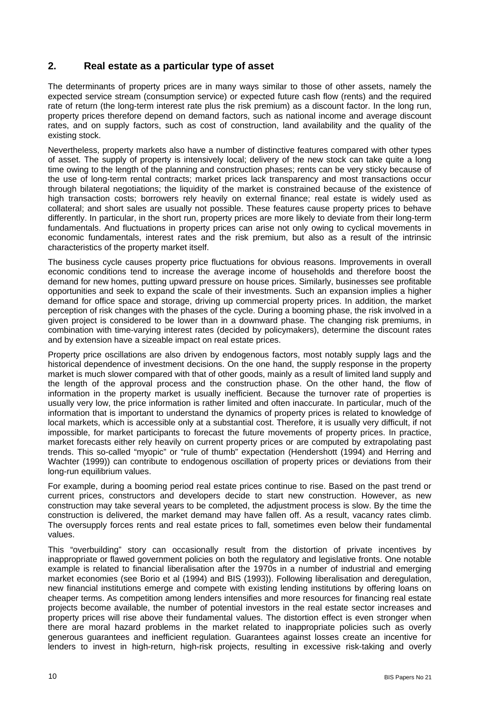## **2. Real estate as a particular type of asset**

The determinants of property prices are in many ways similar to those of other assets, namely the expected service stream (consumption service) or expected future cash flow (rents) and the required rate of return (the long-term interest rate plus the risk premium) as a discount factor. In the long run, property prices therefore depend on demand factors, such as national income and average discount rates, and on supply factors, such as cost of construction, land availability and the quality of the existing stock.

Nevertheless, property markets also have a number of distinctive features compared with other types of asset. The supply of property is intensively local; delivery of the new stock can take quite a long time owing to the length of the planning and construction phases; rents can be very sticky because of the use of long-term rental contracts; market prices lack transparency and most transactions occur through bilateral negotiations; the liquidity of the market is constrained because of the existence of high transaction costs; borrowers rely heavily on external finance; real estate is widely used as collateral; and short sales are usually not possible. These features cause property prices to behave differently. In particular, in the short run, property prices are more likely to deviate from their long-term fundamentals. And fluctuations in property prices can arise not only owing to cyclical movements in economic fundamentals, interest rates and the risk premium, but also as a result of the intrinsic characteristics of the property market itself.

The business cycle causes property price fluctuations for obvious reasons. Improvements in overall economic conditions tend to increase the average income of households and therefore boost the demand for new homes, putting upward pressure on house prices. Similarly, businesses see profitable opportunities and seek to expand the scale of their investments. Such an expansion implies a higher demand for office space and storage, driving up commercial property prices. In addition, the market perception of risk changes with the phases of the cycle. During a booming phase, the risk involved in a given project is considered to be lower than in a downward phase. The changing risk premiums, in combination with time-varying interest rates (decided by policymakers), determine the discount rates and by extension have a sizeable impact on real estate prices.

Property price oscillations are also driven by endogenous factors, most notably supply lags and the historical dependence of investment decisions. On the one hand, the supply response in the property market is much slower compared with that of other goods, mainly as a result of limited land supply and the length of the approval process and the construction phase. On the other hand, the flow of information in the property market is usually inefficient. Because the turnover rate of properties is usually very low, the price information is rather limited and often inaccurate. In particular, much of the information that is important to understand the dynamics of property prices is related to knowledge of local markets, which is accessible only at a substantial cost. Therefore, it is usually very difficult, if not impossible, for market participants to forecast the future movements of property prices. In practice, market forecasts either rely heavily on current property prices or are computed by extrapolating past trends. This so-called "myopic" or "rule of thumb" expectation (Hendershott (1994) and Herring and Wachter (1999)) can contribute to endogenous oscillation of property prices or deviations from their long-run equilibrium values.

For example, during a booming period real estate prices continue to rise. Based on the past trend or current prices, constructors and developers decide to start new construction. However, as new construction may take several years to be completed, the adjustment process is slow. By the time the construction is delivered, the market demand may have fallen off. As a result, vacancy rates climb. The oversupply forces rents and real estate prices to fall, sometimes even below their fundamental values.

This "overbuilding" story can occasionally result from the distortion of private incentives by inappropriate or flawed government policies on both the regulatory and legislative fronts. One notable example is related to financial liberalisation after the 1970s in a number of industrial and emerging market economies (see Borio et al (1994) and BIS (1993)). Following liberalisation and deregulation, new financial institutions emerge and compete with existing lending institutions by offering loans on cheaper terms. As competition among lenders intensifies and more resources for financing real estate projects become available, the number of potential investors in the real estate sector increases and property prices will rise above their fundamental values. The distortion effect is even stronger when there are moral hazard problems in the market related to inappropriate policies such as overly generous guarantees and inefficient regulation. Guarantees against losses create an incentive for lenders to invest in high-return, high-risk projects, resulting in excessive risk-taking and overly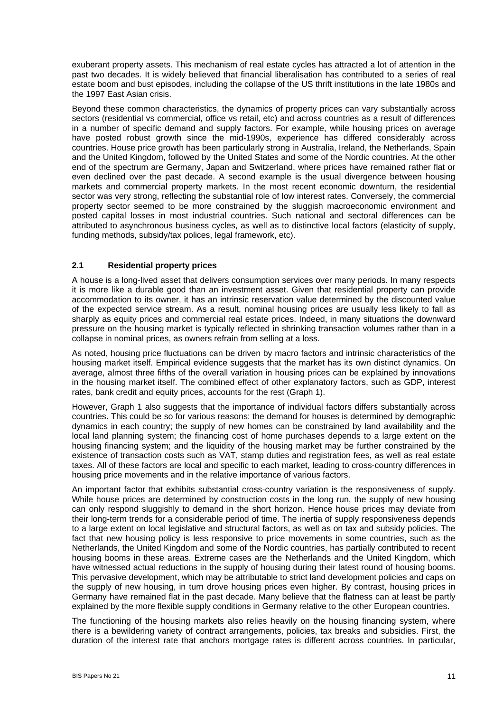exuberant property assets. This mechanism of real estate cycles has attracted a lot of attention in the past two decades. It is widely believed that financial liberalisation has contributed to a series of real estate boom and bust episodes, including the collapse of the US thrift institutions in the late 1980s and the 1997 East Asian crisis.

Beyond these common characteristics, the dynamics of property prices can vary substantially across sectors (residential vs commercial, office vs retail, etc) and across countries as a result of differences in a number of specific demand and supply factors. For example, while housing prices on average have posted robust growth since the mid-1990s, experience has differed considerably across countries. House price growth has been particularly strong in Australia, Ireland, the Netherlands, Spain and the United Kingdom, followed by the United States and some of the Nordic countries. At the other end of the spectrum are Germany, Japan and Switzerland, where prices have remained rather flat or even declined over the past decade. A second example is the usual divergence between housing markets and commercial property markets. In the most recent economic downturn, the residential sector was very strong, reflecting the substantial role of low interest rates. Conversely, the commercial property sector seemed to be more constrained by the sluggish macroeconomic environment and posted capital losses in most industrial countries. Such national and sectoral differences can be attributed to asynchronous business cycles, as well as to distinctive local factors (elasticity of supply, funding methods, subsidy/tax polices, legal framework, etc).

### **2.1 Residential property prices**

A house is a long-lived asset that delivers consumption services over many periods. In many respects it is more like a durable good than an investment asset. Given that residential property can provide accommodation to its owner, it has an intrinsic reservation value determined by the discounted value of the expected service stream. As a result, nominal housing prices are usually less likely to fall as sharply as equity prices and commercial real estate prices. Indeed, in many situations the downward pressure on the housing market is typically reflected in shrinking transaction volumes rather than in a collapse in nominal prices, as owners refrain from selling at a loss.

As noted, housing price fluctuations can be driven by macro factors and intrinsic characteristics of the housing market itself. Empirical evidence suggests that the market has its own distinct dynamics. On average, almost three fifths of the overall variation in housing prices can be explained by innovations in the housing market itself. The combined effect of other explanatory factors, such as GDP, interest rates, bank credit and equity prices, accounts for the rest (Graph 1).

However, Graph 1 also suggests that the importance of individual factors differs substantially across countries. This could be so for various reasons: the demand for houses is determined by demographic dynamics in each country; the supply of new homes can be constrained by land availability and the local land planning system; the financing cost of home purchases depends to a large extent on the housing financing system; and the liquidity of the housing market may be further constrained by the existence of transaction costs such as VAT, stamp duties and registration fees, as well as real estate taxes. All of these factors are local and specific to each market, leading to cross-country differences in housing price movements and in the relative importance of various factors.

An important factor that exhibits substantial cross-country variation is the responsiveness of supply. While house prices are determined by construction costs in the long run, the supply of new housing can only respond sluggishly to demand in the short horizon. Hence house prices may deviate from their long-term trends for a considerable period of time. The inertia of supply responsiveness depends to a large extent on local legislative and structural factors, as well as on tax and subsidy policies. The fact that new housing policy is less responsive to price movements in some countries, such as the Netherlands, the United Kingdom and some of the Nordic countries, has partially contributed to recent housing booms in these areas. Extreme cases are the Netherlands and the United Kingdom, which have witnessed actual reductions in the supply of housing during their latest round of housing booms. This pervasive development, which may be attributable to strict land development policies and caps on the supply of new housing, in turn drove housing prices even higher. By contrast, housing prices in Germany have remained flat in the past decade. Many believe that the flatness can at least be partly explained by the more flexible supply conditions in Germany relative to the other European countries.

The functioning of the housing markets also relies heavily on the housing financing system, where there is a bewildering variety of contract arrangements, policies, tax breaks and subsidies. First, the duration of the interest rate that anchors mortgage rates is different across countries. In particular,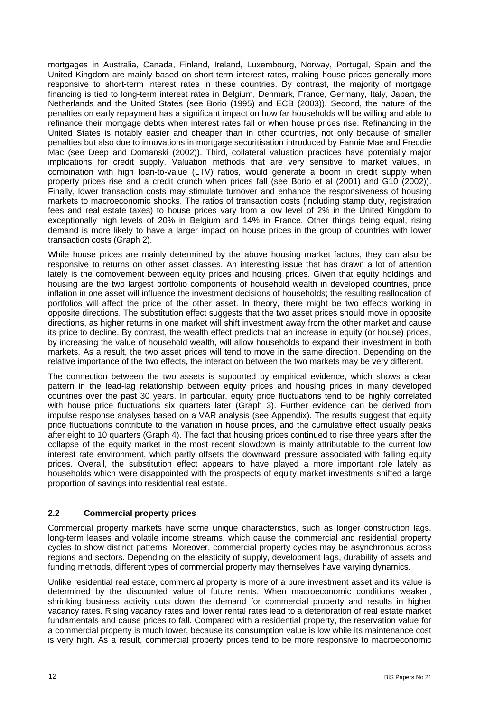mortgages in Australia, Canada, Finland, Ireland, Luxembourg, Norway, Portugal, Spain and the United Kingdom are mainly based on short-term interest rates, making house prices generally more responsive to short-term interest rates in these countries. By contrast, the majority of mortgage financing is tied to long-term interest rates in Belgium, Denmark, France, Germany, Italy, Japan, the Netherlands and the United States (see Borio (1995) and ECB (2003)). Second, the nature of the penalties on early repayment has a significant impact on how far households will be willing and able to refinance their mortgage debts when interest rates fall or when house prices rise. Refinancing in the United States is notably easier and cheaper than in other countries, not only because of smaller penalties but also due to innovations in mortgage securitisation introduced by Fannie Mae and Freddie Mac (see Deep and Domanski (2002)). Third, collateral valuation practices have potentially major implications for credit supply. Valuation methods that are very sensitive to market values, in combination with high loan-to-value (LTV) ratios, would generate a boom in credit supply when property prices rise and a credit crunch when prices fall (see Borio et al (2001) and G10 (2002)). Finally, lower transaction costs may stimulate turnover and enhance the responsiveness of housing markets to macroeconomic shocks. The ratios of transaction costs (including stamp duty, registration fees and real estate taxes) to house prices vary from a low level of 2% in the United Kingdom to exceptionally high levels of 20% in Belgium and 14% in France. Other things being equal, rising demand is more likely to have a larger impact on house prices in the group of countries with lower transaction costs (Graph 2).

While house prices are mainly determined by the above housing market factors, they can also be responsive to returns on other asset classes. An interesting issue that has drawn a lot of attention lately is the comovement between equity prices and housing prices. Given that equity holdings and housing are the two largest portfolio components of household wealth in developed countries, price inflation in one asset will influence the investment decisions of households; the resulting reallocation of portfolios will affect the price of the other asset. In theory, there might be two effects working in opposite directions. The substitution effect suggests that the two asset prices should move in opposite directions, as higher returns in one market will shift investment away from the other market and cause its price to decline. By contrast, the wealth effect predicts that an increase in equity (or house) prices, by increasing the value of household wealth, will allow households to expand their investment in both markets. As a result, the two asset prices will tend to move in the same direction. Depending on the relative importance of the two effects, the interaction between the two markets may be very different.

The connection between the two assets is supported by empirical evidence, which shows a clear pattern in the lead-lag relationship between equity prices and housing prices in many developed countries over the past 30 years. In particular, equity price fluctuations tend to be highly correlated with house price fluctuations six quarters later (Graph 3). Further evidence can be derived from impulse response analyses based on a VAR analysis (see Appendix). The results suggest that equity price fluctuations contribute to the variation in house prices, and the cumulative effect usually peaks after eight to 10 quarters (Graph 4). The fact that housing prices continued to rise three years after the collapse of the equity market in the most recent slowdown is mainly attributable to the current low interest rate environment, which partly offsets the downward pressure associated with falling equity prices. Overall, the substitution effect appears to have played a more important role lately as households which were disappointed with the prospects of equity market investments shifted a large proportion of savings into residential real estate.

### **2.2 Commercial property prices**

Commercial property markets have some unique characteristics, such as longer construction lags, long-term leases and volatile income streams, which cause the commercial and residential property cycles to show distinct patterns. Moreover, commercial property cycles may be asynchronous across regions and sectors. Depending on the elasticity of supply, development lags, durability of assets and funding methods, different types of commercial property may themselves have varying dynamics.

Unlike residential real estate, commercial property is more of a pure investment asset and its value is determined by the discounted value of future rents. When macroeconomic conditions weaken, shrinking business activity cuts down the demand for commercial property and results in higher vacancy rates. Rising vacancy rates and lower rental rates lead to a deterioration of real estate market fundamentals and cause prices to fall. Compared with a residential property, the reservation value for a commercial property is much lower, because its consumption value is low while its maintenance cost is very high. As a result, commercial property prices tend to be more responsive to macroeconomic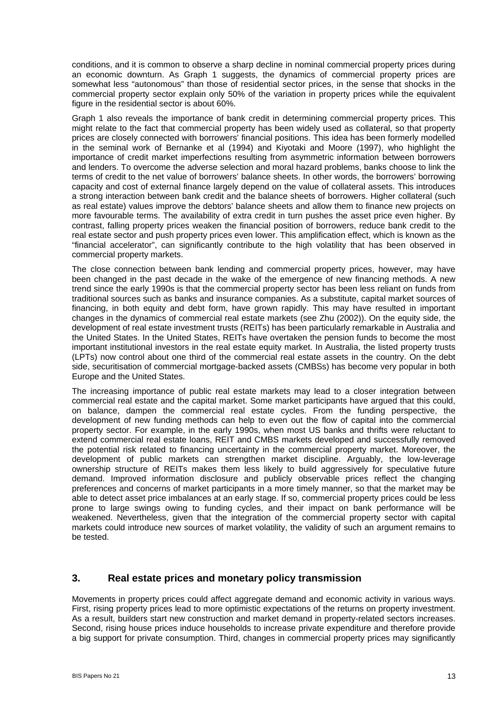conditions, and it is common to observe a sharp decline in nominal commercial property prices during an economic downturn. As Graph 1 suggests, the dynamics of commercial property prices are somewhat less "autonomous" than those of residential sector prices, in the sense that shocks in the commercial property sector explain only 50% of the variation in property prices while the equivalent figure in the residential sector is about 60%.

Graph 1 also reveals the importance of bank credit in determining commercial property prices. This might relate to the fact that commercial property has been widely used as collateral, so that property prices are closely connected with borrowers' financial positions. This idea has been formerly modelled in the seminal work of Bernanke et al (1994) and Kiyotaki and Moore (1997), who highlight the importance of credit market imperfections resulting from asymmetric information between borrowers and lenders. To overcome the adverse selection and moral hazard problems, banks choose to link the terms of credit to the net value of borrowers' balance sheets. In other words, the borrowers' borrowing capacity and cost of external finance largely depend on the value of collateral assets. This introduces a strong interaction between bank credit and the balance sheets of borrowers. Higher collateral (such as real estate) values improve the debtors' balance sheets and allow them to finance new projects on more favourable terms. The availability of extra credit in turn pushes the asset price even higher. By contrast, falling property prices weaken the financial position of borrowers, reduce bank credit to the real estate sector and push property prices even lower. This amplification effect, which is known as the "financial accelerator", can significantly contribute to the high volatility that has been observed in commercial property markets.

The close connection between bank lending and commercial property prices, however, may have been changed in the past decade in the wake of the emergence of new financing methods. A new trend since the early 1990s is that the commercial property sector has been less reliant on funds from traditional sources such as banks and insurance companies. As a substitute, capital market sources of financing, in both equity and debt form, have grown rapidly. This may have resulted in important changes in the dynamics of commercial real estate markets (see Zhu (2002)). On the equity side, the development of real estate investment trusts (REITs) has been particularly remarkable in Australia and the United States. In the United States, REITs have overtaken the pension funds to become the most important institutional investors in the real estate equity market. In Australia, the listed property trusts (LPTs) now control about one third of the commercial real estate assets in the country. On the debt side, securitisation of commercial mortgage-backed assets (CMBSs) has become very popular in both Europe and the United States.

The increasing importance of public real estate markets may lead to a closer integration between commercial real estate and the capital market. Some market participants have argued that this could, on balance, dampen the commercial real estate cycles. From the funding perspective, the development of new funding methods can help to even out the flow of capital into the commercial property sector. For example, in the early 1990s, when most US banks and thrifts were reluctant to extend commercial real estate loans, REIT and CMBS markets developed and successfully removed the potential risk related to financing uncertainty in the commercial property market. Moreover, the development of public markets can strengthen market discipline. Arguably, the low-leverage ownership structure of REITs makes them less likely to build aggressively for speculative future demand. Improved information disclosure and publicly observable prices reflect the changing preferences and concerns of market participants in a more timely manner, so that the market may be able to detect asset price imbalances at an early stage. If so, commercial property prices could be less prone to large swings owing to funding cycles, and their impact on bank performance will be weakened. Nevertheless, given that the integration of the commercial property sector with capital markets could introduce new sources of market volatility, the validity of such an argument remains to be tested.

### **3. Real estate prices and monetary policy transmission**

Movements in property prices could affect aggregate demand and economic activity in various ways. First, rising property prices lead to more optimistic expectations of the returns on property investment. As a result, builders start new construction and market demand in property-related sectors increases. Second, rising house prices induce households to increase private expenditure and therefore provide a big support for private consumption. Third, changes in commercial property prices may significantly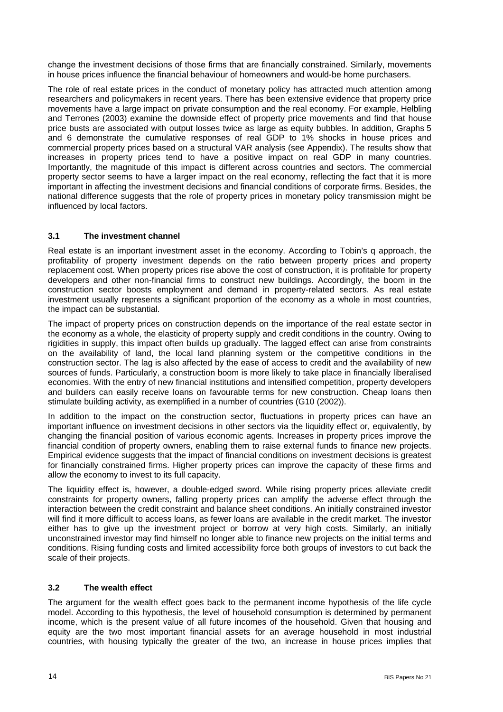change the investment decisions of those firms that are financially constrained. Similarly, movements in house prices influence the financial behaviour of homeowners and would-be home purchasers.

The role of real estate prices in the conduct of monetary policy has attracted much attention among researchers and policymakers in recent years. There has been extensive evidence that property price movements have a large impact on private consumption and the real economy. For example, Helbling and Terrones (2003) examine the downside effect of property price movements and find that house price busts are associated with output losses twice as large as equity bubbles. In addition, Graphs 5 and 6 demonstrate the cumulative responses of real GDP to 1% shocks in house prices and commercial property prices based on a structural VAR analysis (see Appendix). The results show that increases in property prices tend to have a positive impact on real GDP in many countries. Importantly, the magnitude of this impact is different across countries and sectors. The commercial property sector seems to have a larger impact on the real economy, reflecting the fact that it is more important in affecting the investment decisions and financial conditions of corporate firms. Besides, the national difference suggests that the role of property prices in monetary policy transmission might be influenced by local factors.

### **3.1 The investment channel**

Real estate is an important investment asset in the economy. According to Tobin's q approach, the profitability of property investment depends on the ratio between property prices and property replacement cost. When property prices rise above the cost of construction, it is profitable for property developers and other non-financial firms to construct new buildings. Accordingly, the boom in the construction sector boosts employment and demand in property-related sectors. As real estate investment usually represents a significant proportion of the economy as a whole in most countries, the impact can be substantial.

The impact of property prices on construction depends on the importance of the real estate sector in the economy as a whole, the elasticity of property supply and credit conditions in the country. Owing to rigidities in supply, this impact often builds up gradually. The lagged effect can arise from constraints on the availability of land, the local land planning system or the competitive conditions in the construction sector. The lag is also affected by the ease of access to credit and the availability of new sources of funds. Particularly, a construction boom is more likely to take place in financially liberalised economies. With the entry of new financial institutions and intensified competition, property developers and builders can easily receive loans on favourable terms for new construction. Cheap loans then stimulate building activity, as exemplified in a number of countries (G10 (2002)).

In addition to the impact on the construction sector, fluctuations in property prices can have an important influence on investment decisions in other sectors via the liquidity effect or, equivalently, by changing the financial position of various economic agents. Increases in property prices improve the financial condition of property owners, enabling them to raise external funds to finance new projects. Empirical evidence suggests that the impact of financial conditions on investment decisions is greatest for financially constrained firms. Higher property prices can improve the capacity of these firms and allow the economy to invest to its full capacity.

The liquidity effect is, however, a double-edged sword. While rising property prices alleviate credit constraints for property owners, falling property prices can amplify the adverse effect through the interaction between the credit constraint and balance sheet conditions. An initially constrained investor will find it more difficult to access loans, as fewer loans are available in the credit market. The investor either has to give up the investment project or borrow at very high costs. Similarly, an initially unconstrained investor may find himself no longer able to finance new projects on the initial terms and conditions. Rising funding costs and limited accessibility force both groups of investors to cut back the scale of their projects.

### **3.2 The wealth effect**

The argument for the wealth effect goes back to the permanent income hypothesis of the life cycle model. According to this hypothesis, the level of household consumption is determined by permanent income, which is the present value of all future incomes of the household. Given that housing and equity are the two most important financial assets for an average household in most industrial countries, with housing typically the greater of the two, an increase in house prices implies that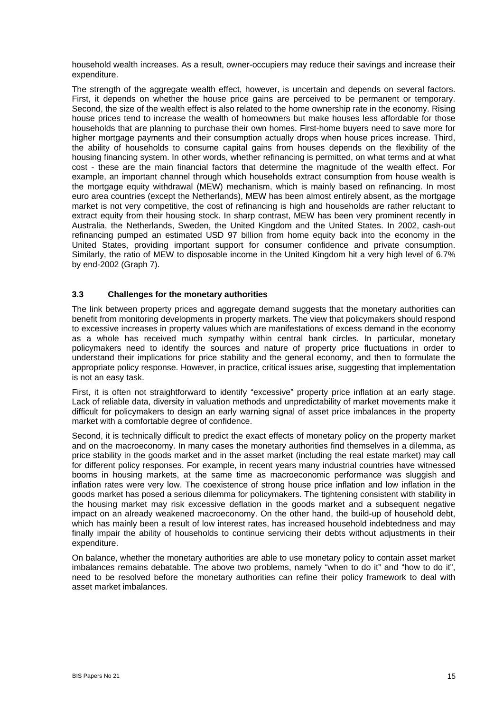household wealth increases. As a result, owner-occupiers may reduce their savings and increase their expenditure.

The strength of the aggregate wealth effect, however, is uncertain and depends on several factors. First, it depends on whether the house price gains are perceived to be permanent or temporary. Second, the size of the wealth effect is also related to the home ownership rate in the economy. Rising house prices tend to increase the wealth of homeowners but make houses less affordable for those households that are planning to purchase their own homes. First-home buyers need to save more for higher mortgage payments and their consumption actually drops when house prices increase. Third, the ability of households to consume capital gains from houses depends on the flexibility of the housing financing system. In other words, whether refinancing is permitted, on what terms and at what cost - these are the main financial factors that determine the magnitude of the wealth effect. For example, an important channel through which households extract consumption from house wealth is the mortgage equity withdrawal (MEW) mechanism, which is mainly based on refinancing. In most euro area countries (except the Netherlands), MEW has been almost entirely absent, as the mortgage market is not very competitive, the cost of refinancing is high and households are rather reluctant to extract equity from their housing stock. In sharp contrast, MEW has been very prominent recently in Australia, the Netherlands, Sweden, the United Kingdom and the United States. In 2002, cash-out refinancing pumped an estimated USD 97 billion from home equity back into the economy in the United States, providing important support for consumer confidence and private consumption. Similarly, the ratio of MEW to disposable income in the United Kingdom hit a very high level of 6.7% by end-2002 (Graph 7).

### **3.3 Challenges for the monetary authorities**

The link between property prices and aggregate demand suggests that the monetary authorities can benefit from monitoring developments in property markets. The view that policymakers should respond to excessive increases in property values which are manifestations of excess demand in the economy as a whole has received much sympathy within central bank circles. In particular, monetary policymakers need to identify the sources and nature of property price fluctuations in order to understand their implications for price stability and the general economy, and then to formulate the appropriate policy response. However, in practice, critical issues arise, suggesting that implementation is not an easy task.

First, it is often not straightforward to identify "excessive" property price inflation at an early stage. Lack of reliable data, diversity in valuation methods and unpredictability of market movements make it difficult for policymakers to design an early warning signal of asset price imbalances in the property market with a comfortable degree of confidence.

Second, it is technically difficult to predict the exact effects of monetary policy on the property market and on the macroeconomy. In many cases the monetary authorities find themselves in a dilemma, as price stability in the goods market and in the asset market (including the real estate market) may call for different policy responses. For example, in recent years many industrial countries have witnessed booms in housing markets, at the same time as macroeconomic performance was sluggish and inflation rates were very low. The coexistence of strong house price inflation and low inflation in the goods market has posed a serious dilemma for policymakers. The tightening consistent with stability in the housing market may risk excessive deflation in the goods market and a subsequent negative impact on an already weakened macroeconomy. On the other hand, the build-up of household debt, which has mainly been a result of low interest rates, has increased household indebtedness and may finally impair the ability of households to continue servicing their debts without adjustments in their expenditure.

On balance, whether the monetary authorities are able to use monetary policy to contain asset market imbalances remains debatable. The above two problems, namely "when to do it" and "how to do it", need to be resolved before the monetary authorities can refine their policy framework to deal with asset market imbalances.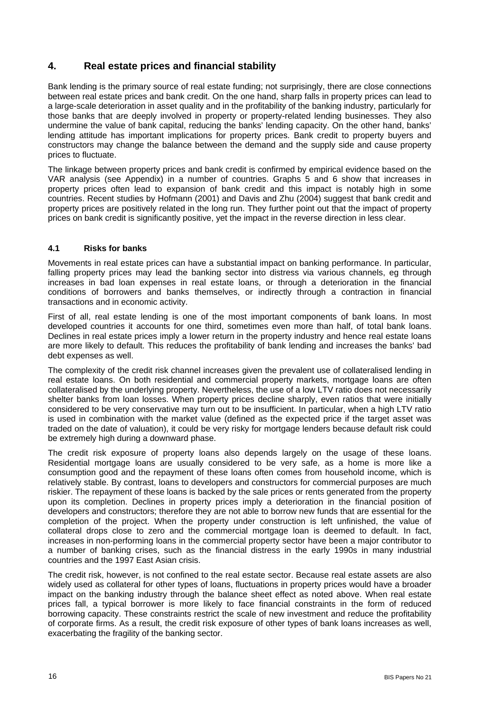# **4. Real estate prices and financial stability**

Bank lending is the primary source of real estate funding; not surprisingly, there are close connections between real estate prices and bank credit. On the one hand, sharp falls in property prices can lead to a large-scale deterioration in asset quality and in the profitability of the banking industry, particularly for those banks that are deeply involved in property or property-related lending businesses. They also undermine the value of bank capital, reducing the banks' lending capacity. On the other hand, banks' lending attitude has important implications for property prices. Bank credit to property buyers and constructors may change the balance between the demand and the supply side and cause property prices to fluctuate.

The linkage between property prices and bank credit is confirmed by empirical evidence based on the VAR analysis (see Appendix) in a number of countries. Graphs 5 and 6 show that increases in property prices often lead to expansion of bank credit and this impact is notably high in some countries. Recent studies by Hofmann (2001) and Davis and Zhu (2004) suggest that bank credit and property prices are positively related in the long run. They further point out that the impact of property prices on bank credit is significantly positive, yet the impact in the reverse direction in less clear.

### **4.1 Risks for banks**

Movements in real estate prices can have a substantial impact on banking performance. In particular, falling property prices may lead the banking sector into distress via various channels, eg through increases in bad loan expenses in real estate loans, or through a deterioration in the financial conditions of borrowers and banks themselves, or indirectly through a contraction in financial transactions and in economic activity.

First of all, real estate lending is one of the most important components of bank loans. In most developed countries it accounts for one third, sometimes even more than half, of total bank loans. Declines in real estate prices imply a lower return in the property industry and hence real estate loans are more likely to default. This reduces the profitability of bank lending and increases the banks' bad debt expenses as well.

The complexity of the credit risk channel increases given the prevalent use of collateralised lending in real estate loans. On both residential and commercial property markets, mortgage loans are often collateralised by the underlying property. Nevertheless, the use of a low LTV ratio does not necessarily shelter banks from loan losses. When property prices decline sharply, even ratios that were initially considered to be very conservative may turn out to be insufficient. In particular, when a high LTV ratio is used in combination with the market value (defined as the expected price if the target asset was traded on the date of valuation), it could be very risky for mortgage lenders because default risk could be extremely high during a downward phase.

The credit risk exposure of property loans also depends largely on the usage of these loans. Residential mortgage loans are usually considered to be very safe, as a home is more like a consumption good and the repayment of these loans often comes from household income, which is relatively stable. By contrast, loans to developers and constructors for commercial purposes are much riskier. The repayment of these loans is backed by the sale prices or rents generated from the property upon its completion. Declines in property prices imply a deterioration in the financial position of developers and constructors; therefore they are not able to borrow new funds that are essential for the completion of the project. When the property under construction is left unfinished, the value of collateral drops close to zero and the commercial mortgage loan is deemed to default. In fact, increases in non-performing loans in the commercial property sector have been a major contributor to a number of banking crises, such as the financial distress in the early 1990s in many industrial countries and the 1997 East Asian crisis.

The credit risk, however, is not confined to the real estate sector. Because real estate assets are also widely used as collateral for other types of loans, fluctuations in property prices would have a broader impact on the banking industry through the balance sheet effect as noted above. When real estate prices fall, a typical borrower is more likely to face financial constraints in the form of reduced borrowing capacity. These constraints restrict the scale of new investment and reduce the profitability of corporate firms. As a result, the credit risk exposure of other types of bank loans increases as well, exacerbating the fragility of the banking sector.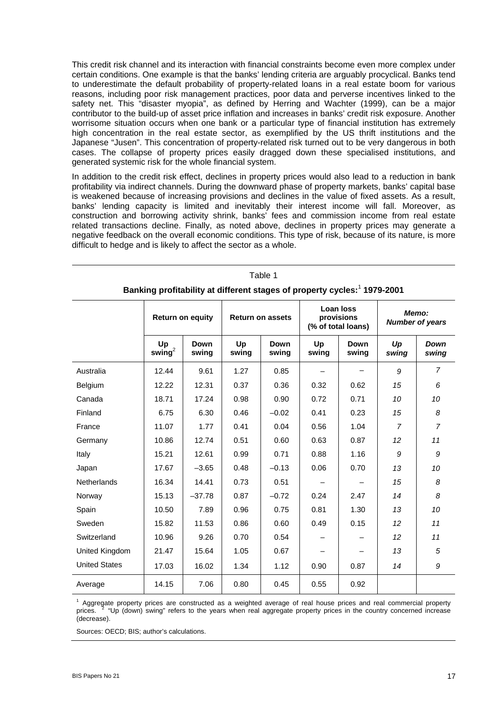This credit risk channel and its interaction with financial constraints become even more complex under certain conditions. One example is that the banks' lending criteria are arguably procyclical. Banks tend to underestimate the default probability of property-related loans in a real estate boom for various reasons, including poor risk management practices, poor data and perverse incentives linked to the safety net. This "disaster myopia", as defined by Herring and Wachter (1999), can be a major contributor to the build-up of asset price inflation and increases in banks' credit risk exposure. Another worrisome situation occurs when one bank or a particular type of financial institution has extremely high concentration in the real estate sector, as exemplified by the US thrift institutions and the Japanese "Jusen". This concentration of property-related risk turned out to be very dangerous in both cases. The collapse of property prices easily dragged down these specialised institutions, and generated systemic risk for the whole financial system.

In addition to the credit risk effect, declines in property prices would also lead to a reduction in bank profitability via indirect channels. During the downward phase of property markets, banks' capital base is weakened because of increasing provisions and declines in the value of fixed assets. As a result, banks' lending capacity is limited and inevitably their interest income will fall. Moreover, as construction and borrowing activity shrink, banks' fees and commission income from real estate related transactions decline. Finally, as noted above, declines in property prices may generate a negative feedback on the overall economic conditions. This type of risk, because of its nature, is more difficult to hedge and is likely to affect the sector as a whole.

| Table 1                                                                              |                         |                      |                         |                      |                                               |                      |                                 |                |
|--------------------------------------------------------------------------------------|-------------------------|----------------------|-------------------------|----------------------|-----------------------------------------------|----------------------|---------------------------------|----------------|
| Banking profitability at different stages of property cycles: <sup>1</sup> 1979-2001 |                         |                      |                         |                      |                                               |                      |                                 |                |
|                                                                                      | <b>Return on equity</b> |                      | <b>Return on assets</b> |                      | Loan loss<br>provisions<br>(% of total loans) |                      | Memo:<br><b>Number of years</b> |                |
|                                                                                      | Up<br>swing $^2$        | <b>Down</b><br>swing | Up<br>swing             | <b>Down</b><br>swing | Up<br>swing                                   | <b>Down</b><br>swing | Up<br>swing                     | Down<br>swing  |
| Australia                                                                            | 12.44                   | 9.61                 | 1.27                    | 0.85                 |                                               |                      | 9                               | $\overline{7}$ |
| Belgium                                                                              | 12.22                   | 12.31                | 0.37                    | 0.36                 | 0.32                                          | 0.62                 | 15                              | 6              |
| Canada                                                                               | 18.71                   | 17.24                | 0.98                    | 0.90                 | 0.72                                          | 0.71                 | 10                              | 10             |
| Finland                                                                              | 6.75                    | 6.30                 | 0.46                    | $-0.02$              | 0.41                                          | 0.23                 | 15                              | 8              |
| France                                                                               | 11.07                   | 1.77                 | 0.41                    | 0.04                 | 0.56                                          | 1.04                 | 7                               | $\overline{7}$ |
| Germany                                                                              | 10.86                   | 12.74                | 0.51                    | 0.60                 | 0.63                                          | 0.87                 | 12                              | 11             |
| Italy                                                                                | 15.21                   | 12.61                | 0.99                    | 0.71                 | 0.88                                          | 1.16                 | 9                               | 9              |
| Japan                                                                                | 17.67                   | $-3.65$              | 0.48                    | $-0.13$              | 0.06                                          | 0.70                 | 13                              | 10             |
| <b>Netherlands</b>                                                                   | 16.34                   | 14.41                | 0.73                    | 0.51                 |                                               |                      | 15                              | 8              |
| Norway                                                                               | 15.13                   | $-37.78$             | 0.87                    | $-0.72$              | 0.24                                          | 2.47                 | 14                              | 8              |
| Spain                                                                                | 10.50                   | 7.89                 | 0.96                    | 0.75                 | 0.81                                          | 1.30                 | 13                              | 10             |
| Sweden                                                                               | 15.82                   | 11.53                | 0.86                    | 0.60                 | 0.49                                          | 0.15                 | 12 <sup>2</sup>                 | 11             |
| Switzerland                                                                          | 10.96                   | 9.26                 | 0.70                    | 0.54                 |                                               |                      | 12 <sup>2</sup>                 | 11             |
| United Kingdom                                                                       | 21.47                   | 15.64                | 1.05                    | 0.67                 |                                               |                      | 13                              | 5              |
| <b>United States</b>                                                                 | 17.03                   | 16.02                | 1.34                    | 1.12                 | 0.90                                          | 0.87                 | 14                              | 9              |
| Average                                                                              | 14.15                   | 7.06                 | 0.80                    | 0.45                 | 0.55                                          | 0.92                 |                                 |                |

<sup>1</sup> Aggregate property prices are constructed as a weighted average of real house prices and real commercial property<br>prices. <sup>2</sup> "Up (down) swing" refers to the years when real aggregate property prices in the country con (decrease).

Sources: OECD; BIS; author's calculations.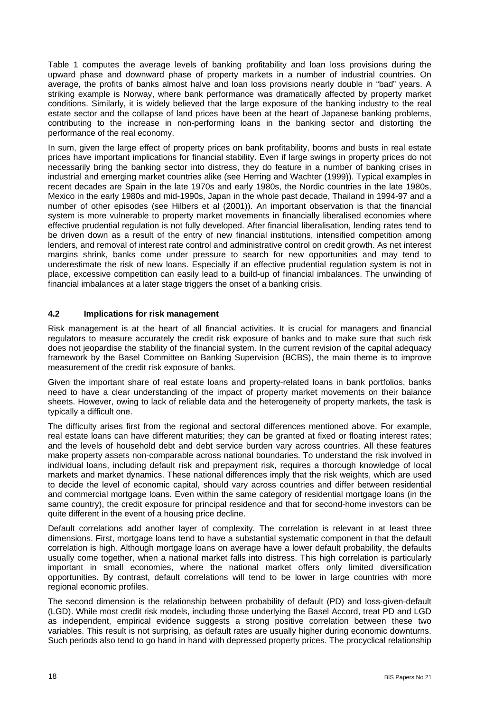Table 1 computes the average levels of banking profitability and loan loss provisions during the upward phase and downward phase of property markets in a number of industrial countries. On average, the profits of banks almost halve and loan loss provisions nearly double in "bad" years. A striking example is Norway, where bank performance was dramatically affected by property market conditions. Similarly, it is widely believed that the large exposure of the banking industry to the real estate sector and the collapse of land prices have been at the heart of Japanese banking problems, contributing to the increase in non-performing loans in the banking sector and distorting the performance of the real economy.

In sum, given the large effect of property prices on bank profitability, booms and busts in real estate prices have important implications for financial stability. Even if large swings in property prices do not necessarily bring the banking sector into distress, they do feature in a number of banking crises in industrial and emerging market countries alike (see Herring and Wachter (1999)). Typical examples in recent decades are Spain in the late 1970s and early 1980s, the Nordic countries in the late 1980s, Mexico in the early 1980s and mid-1990s, Japan in the whole past decade, Thailand in 1994-97 and a number of other episodes (see Hilbers et al (2001)). An important observation is that the financial system is more vulnerable to property market movements in financially liberalised economies where effective prudential regulation is not fully developed. After financial liberalisation, lending rates tend to be driven down as a result of the entry of new financial institutions, intensified competition among lenders, and removal of interest rate control and administrative control on credit growth. As net interest margins shrink, banks come under pressure to search for new opportunities and may tend to underestimate the risk of new loans. Especially if an effective prudential regulation system is not in place, excessive competition can easily lead to a build-up of financial imbalances. The unwinding of financial imbalances at a later stage triggers the onset of a banking crisis.

#### **4.2 Implications for risk management**

Risk management is at the heart of all financial activities. It is crucial for managers and financial regulators to measure accurately the credit risk exposure of banks and to make sure that such risk does not jeopardise the stability of the financial system. In the current revision of the capital adequacy framework by the Basel Committee on Banking Supervision (BCBS), the main theme is to improve measurement of the credit risk exposure of banks.

Given the important share of real estate loans and property-related loans in bank portfolios, banks need to have a clear understanding of the impact of property market movements on their balance sheets. However, owing to lack of reliable data and the heterogeneity of property markets, the task is typically a difficult one.

The difficulty arises first from the regional and sectoral differences mentioned above. For example, real estate loans can have different maturities; they can be granted at fixed or floating interest rates; and the levels of household debt and debt service burden vary across countries. All these features make property assets non-comparable across national boundaries. To understand the risk involved in individual loans, including default risk and prepayment risk, requires a thorough knowledge of local markets and market dynamics. These national differences imply that the risk weights, which are used to decide the level of economic capital, should vary across countries and differ between residential and commercial mortgage loans. Even within the same category of residential mortgage loans (in the same country), the credit exposure for principal residence and that for second-home investors can be quite different in the event of a housing price decline.

Default correlations add another layer of complexity. The correlation is relevant in at least three dimensions. First, mortgage loans tend to have a substantial systematic component in that the default correlation is high. Although mortgage loans on average have a lower default probability, the defaults usually come together, when a national market falls into distress. This high correlation is particularly important in small economies, where the national market offers only limited diversification opportunities. By contrast, default correlations will tend to be lower in large countries with more regional economic profiles.

The second dimension is the relationship between probability of default (PD) and loss-given-default (LGD). While most credit risk models, including those underlying the Basel Accord, treat PD and LGD as independent, empirical evidence suggests a strong positive correlation between these two variables. This result is not surprising, as default rates are usually higher during economic downturns. Such periods also tend to go hand in hand with depressed property prices. The procyclical relationship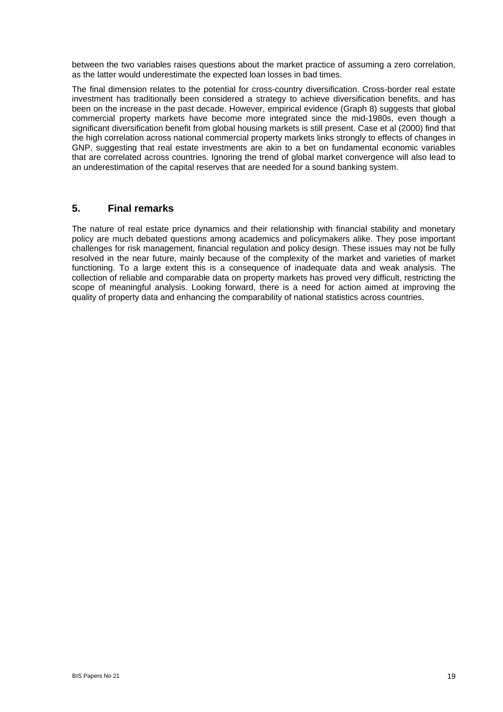between the two variables raises questions about the market practice of assuming a zero correlation, as the latter would underestimate the expected loan losses in bad times.

The final dimension relates to the potential for cross-country diversification. Cross-border real estate investment has traditionally been considered a strategy to achieve diversification benefits, and has been on the increase in the past decade. However, empirical evidence (Graph 8) suggests that global commercial property markets have become more integrated since the mid-1980s, even though a significant diversification benefit from global housing markets is still present. Case et al (2000) find that the high correlation across national commercial property markets links strongly to effects of changes in GNP, suggesting that real estate investments are akin to a bet on fundamental economic variables that are correlated across countries. Ignoring the trend of global market convergence will also lead to an underestimation of the capital reserves that are needed for a sound banking system.

### **5. Final remarks**

The nature of real estate price dynamics and their relationship with financial stability and monetary policy are much debated questions among academics and policymakers alike. They pose important challenges for risk management, financial regulation and policy design. These issues may not be fully resolved in the near future, mainly because of the complexity of the market and varieties of market functioning. To a large extent this is a consequence of inadequate data and weak analysis. The collection of reliable and comparable data on property markets has proved very difficult, restricting the scope of meaningful analysis. Looking forward, there is a need for action aimed at improving the quality of property data and enhancing the comparability of national statistics across countries.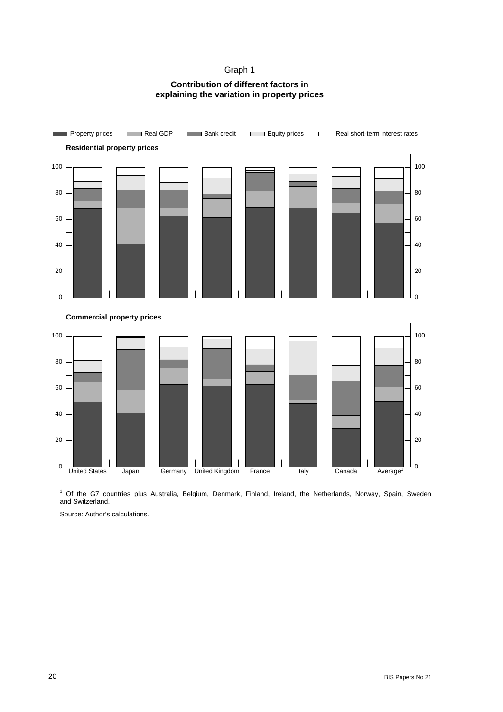### Graph 1

### **Contribution of different factors in explaining the variation in property prices**



 1 Of the G7 countries plus Australia, Belgium, Denmark, Finland, Ireland, the Netherlands, Norway, Spain, Sweden and Switzerland.

Source: Author's calculations.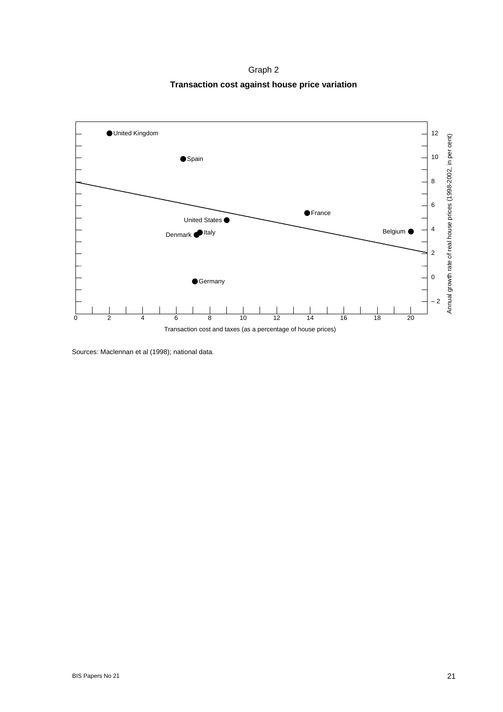Graph 2 **Transaction cost against house price variation** 



Sources: Maclennan et al (1998); national data.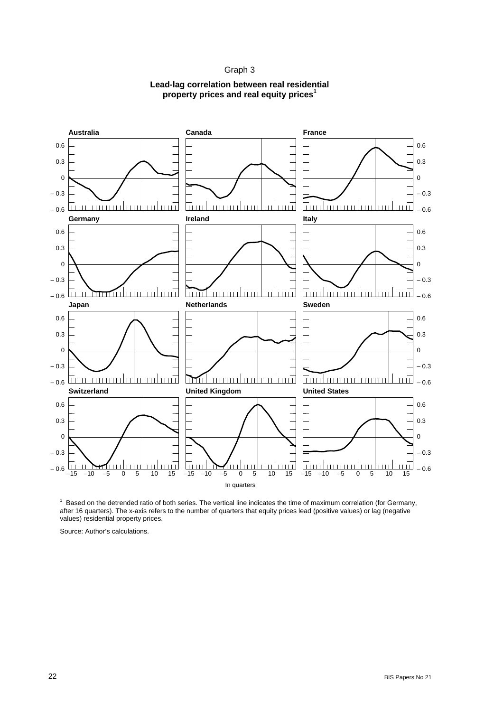#### Graph 3

#### **Lead-lag correlation between real residential property prices and real equity prices<sup>1</sup>**



 $1$  Based on the detrended ratio of both series. The vertical line indicates the time of maximum correlation (for Germany, after 16 quarters). The x-axis refers to the number of quarters that equity prices lead (positive values) or lag (negative values) residential property prices.

Source: Author's calculations.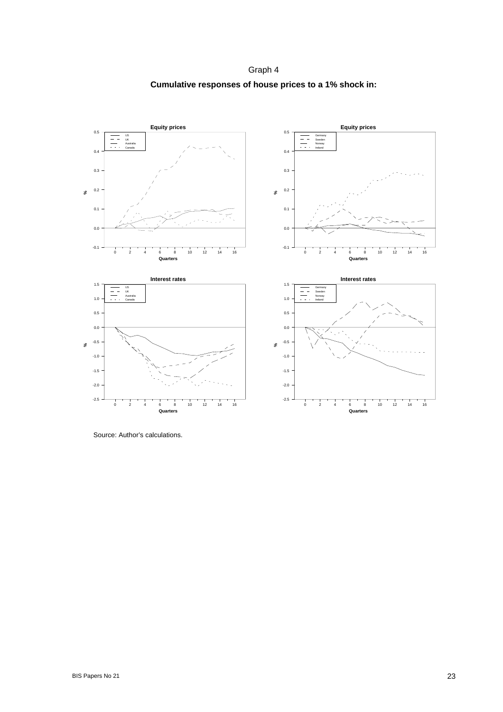Graph 4 **Cumulative responses of house prices to a 1% shock in:** 



Source: Author's calculations.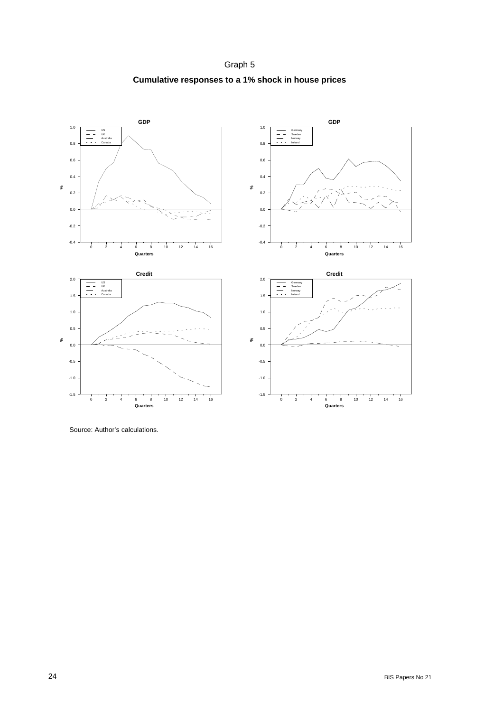Graph 5 **Cumulative responses to a 1% shock in house prices** 



Source: Author's calculations.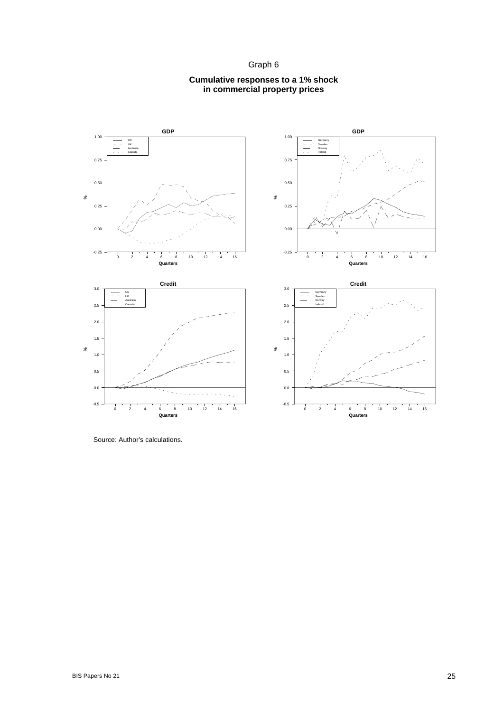Graph 6





Source: Author's calculations.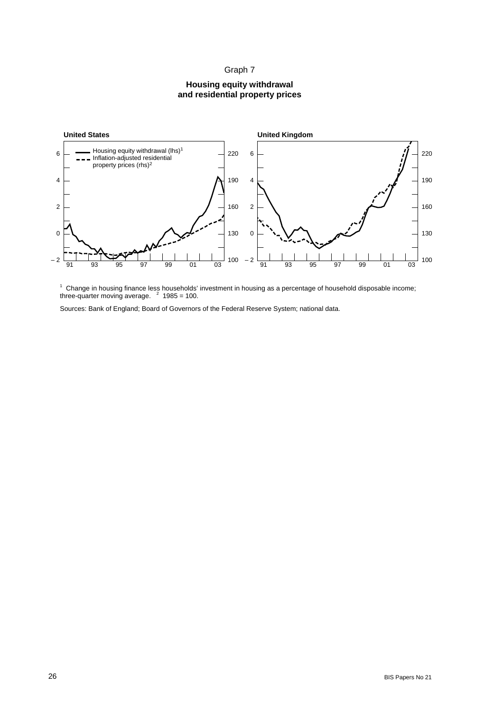### Graph 7

#### **Housing equity withdrawal and residential property prices**



<sup>1</sup> Change in housing finance less households' investment in housing as a percentage of household disposable income; three-quarter moving average.  $2$  1985 = 100.

Sources: Bank of England; Board of Governors of the Federal Reserve System; national data.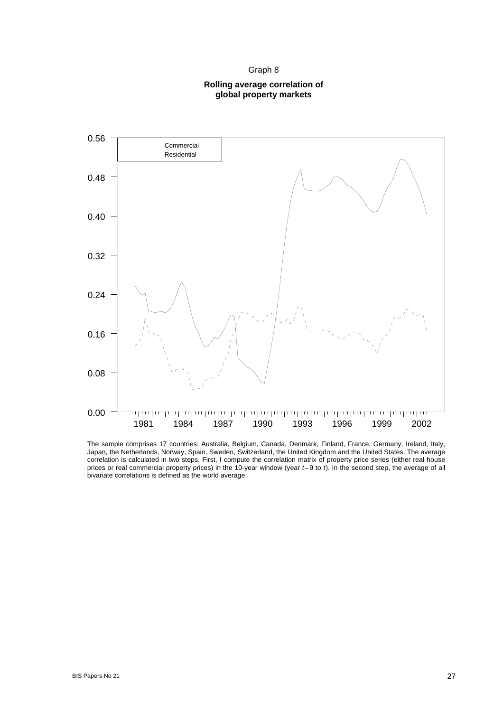Graph 8

#### **Rolling average correlation of global property markets**



The sample comprises 17 countries: Australia, Belgium, Canada, Denmark, Finland, France, Germany, Ireland, Italy, Japan, the Netherlands, Norway, Spain, Sweden, Switzerland, the United Kingdom and the United States. The average correlation is calculated in two steps. First, I compute the correlation matrix of property price series (either real house prices or real commercial property prices) in the 10-year window (year *t*–9 to *t*). In the second step, the average of all bivariate correlations is defined as the world average.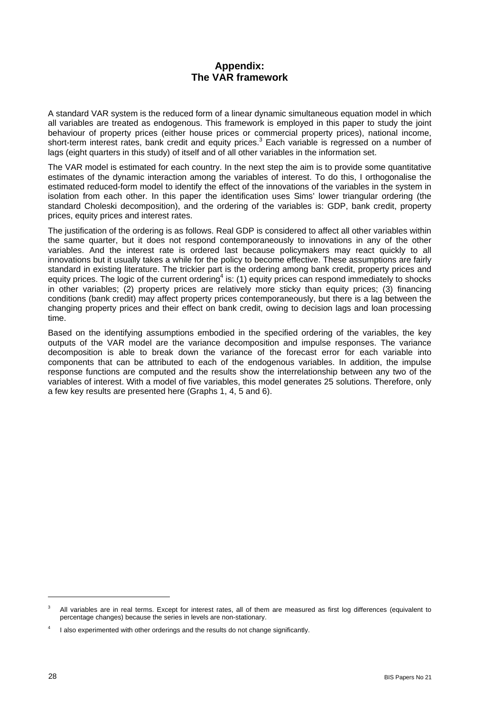# **Appendix: The VAR framework**

A standard VAR system is the reduced form of a linear dynamic simultaneous equation model in which all variables are treated as endogenous. This framework is employed in this paper to study the joint behaviour of property prices (either house prices or commercial property prices), national income, short-term interest rates, bank credit and equity prices.<sup>3</sup> Each variable is regressed on a number of lags (eight quarters in this study) of itself and of all other variables in the information set.

The VAR model is estimated for each country. In the next step the aim is to provide some quantitative estimates of the dynamic interaction among the variables of interest. To do this, I orthogonalise the estimated reduced-form model to identify the effect of the innovations of the variables in the system in isolation from each other. In this paper the identification uses Sims' lower triangular ordering (the standard Choleski decomposition), and the ordering of the variables is: GDP, bank credit, property prices, equity prices and interest rates.

The justification of the ordering is as follows. Real GDP is considered to affect all other variables within the same quarter, but it does not respond contemporaneously to innovations in any of the other variables. And the interest rate is ordered last because policymakers may react quickly to all innovations but it usually takes a while for the policy to become effective. These assumptions are fairly standard in existing literature. The trickier part is the ordering among bank credit, property prices and equity prices. The logic of the current ordering<sup>4</sup> is: (1) equity prices can respond immediately to shocks in other variables; (2) property prices are relatively more sticky than equity prices; (3) financing conditions (bank credit) may affect property prices contemporaneously, but there is a lag between the changing property prices and their effect on bank credit, owing to decision lags and loan processing time.

Based on the identifying assumptions embodied in the specified ordering of the variables, the key outputs of the VAR model are the variance decomposition and impulse responses. The variance decomposition is able to break down the variance of the forecast error for each variable into components that can be attributed to each of the endogenous variables. In addition, the impulse response functions are computed and the results show the interrelationship between any two of the variables of interest. With a model of five variables, this model generates 25 solutions. Therefore, only a few key results are presented here (Graphs 1, 4, 5 and 6).

l

<sup>3</sup> All variables are in real terms. Except for interest rates, all of them are measured as first log differences (equivalent to percentage changes) because the series in levels are non-stationary.

<sup>4</sup> I also experimented with other orderings and the results do not change significantly.